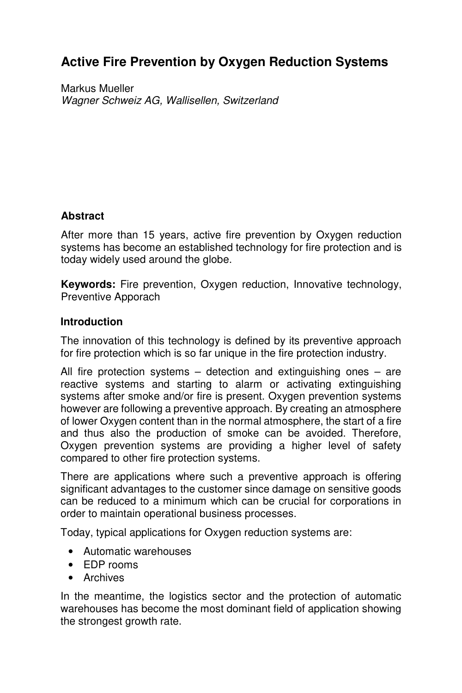# **Active Fire Prevention by Oxygen Reduction Systems**

Markus Mueller Wagner Schweiz AG, Wallisellen, Switzerland

## **Abstract**

After more than 15 years, active fire prevention by Oxygen reduction systems has become an established technology for fire protection and is today widely used around the globe.

**Keywords:** Fire prevention, Oxygen reduction, Innovative technology, Preventive Apporach

### **Introduction**

The innovation of this technology is defined by its preventive approach for fire protection which is so far unique in the fire protection industry.

All fire protection systems  $-$  detection and extinguishing ones  $-$  are reactive systems and starting to alarm or activating extinguishing systems after smoke and/or fire is present. Oxygen prevention systems however are following a preventive approach. By creating an atmosphere of lower Oxygen content than in the normal atmosphere, the start of a fire and thus also the production of smoke can be avoided. Therefore, Oxygen prevention systems are providing a higher level of safety compared to other fire protection systems.

There are applications where such a preventive approach is offering significant advantages to the customer since damage on sensitive goods can be reduced to a minimum which can be crucial for corporations in order to maintain operational business processes.

Today, typical applications for Oxygen reduction systems are:

- Automatic warehouses
- EDP rooms
- Archives

In the meantime, the logistics sector and the protection of automatic warehouses has become the most dominant field of application showing the strongest growth rate.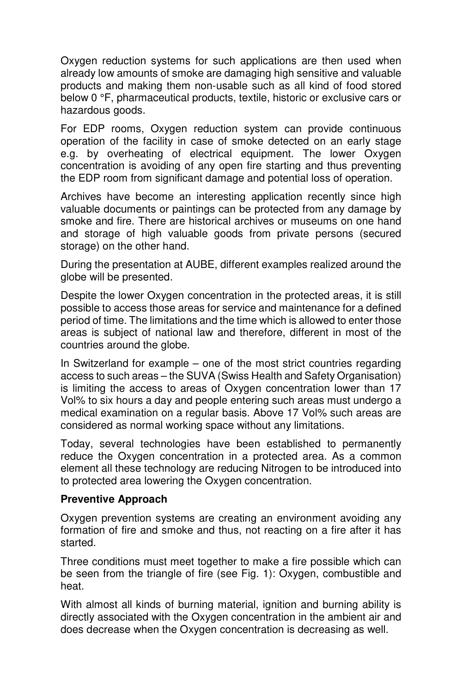Oxygen reduction systems for such applications are then used when already low amounts of smoke are damaging high sensitive and valuable products and making them non-usable such as all kind of food stored below 0 °F, pharmaceutical products, textile, historic or exclusive cars or hazardous goods.

For EDP rooms, Oxygen reduction system can provide continuous operation of the facility in case of smoke detected on an early stage e.g. by overheating of electrical equipment. The lower Oxygen concentration is avoiding of any open fire starting and thus preventing the EDP room from significant damage and potential loss of operation.

Archives have become an interesting application recently since high valuable documents or paintings can be protected from any damage by smoke and fire. There are historical archives or museums on one hand and storage of high valuable goods from private persons (secured storage) on the other hand.

During the presentation at AUBE, different examples realized around the globe will be presented.

Despite the lower Oxygen concentration in the protected areas, it is still possible to access those areas for service and maintenance for a defined period of time. The limitations and the time which is allowed to enter those areas is subject of national law and therefore, different in most of the countries around the globe.

In Switzerland for example – one of the most strict countries regarding access to such areas – the SUVA (Swiss Health and Safety Organisation) is limiting the access to areas of Oxygen concentration lower than 17 Vol% to six hours a day and people entering such areas must undergo a medical examination on a regular basis. Above 17 Vol% such areas are considered as normal working space without any limitations.

Today, several technologies have been established to permanently reduce the Oxygen concentration in a protected area. As a common element all these technology are reducing Nitrogen to be introduced into to protected area lowering the Oxygen concentration.

### **Preventive Approach**

Oxygen prevention systems are creating an environment avoiding any formation of fire and smoke and thus, not reacting on a fire after it has started.

Three conditions must meet together to make a fire possible which can be seen from the triangle of fire (see Fig. 1): Oxygen, combustible and heat.

With almost all kinds of burning material, ignition and burning ability is directly associated with the Oxygen concentration in the ambient air and does decrease when the Oxygen concentration is decreasing as well.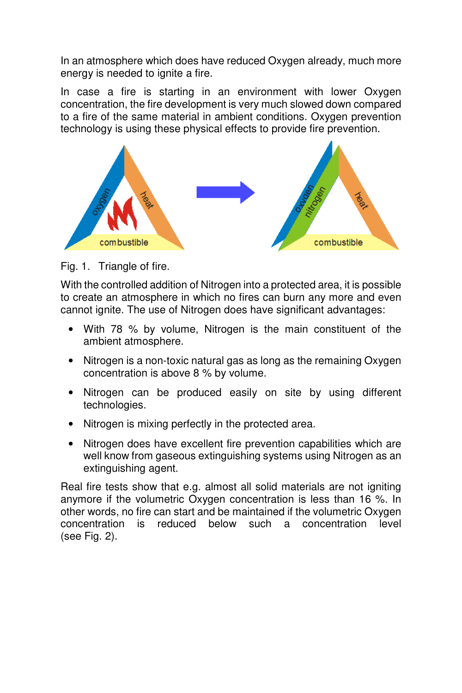In an atmosphere which does have reduced Oxygen already, much more energy is needed to ignite a fire.

In case a fire is starting in an environment with lower Oxygen concentration, the fire development is very much slowed down compared to a fire of the same material in ambient conditions. Oxygen prevention technology is using these physical effects to provide fire prevention.



Fig. 1. Triangle of fire.

With the controlled addition of Nitrogen into a protected area, it is possible to create an atmosphere in which no fires can burn any more and even cannot ignite. The use of Nitrogen does have significant advantages:

- With 78 % by volume, Nitrogen is the main constituent of the ambient atmosphere.
- Nitrogen is a non-toxic natural gas as long as the remaining Oxygen concentration is above 8 % by volume.
- Nitrogen can be produced easily on site by using different technologies.
- Nitrogen is mixing perfectly in the protected area.
- Nitrogen does have excellent fire prevention capabilities which are well know from gaseous extinguishing systems using Nitrogen as an extinguishing agent.

Real fire tests show that e.g. almost all solid materials are not igniting anymore if the volumetric Oxygen concentration is less than 16 %. In other words, no fire can start and be maintained if the volumetric Oxygen concentration is reduced below such a concentration level (see Fig. 2).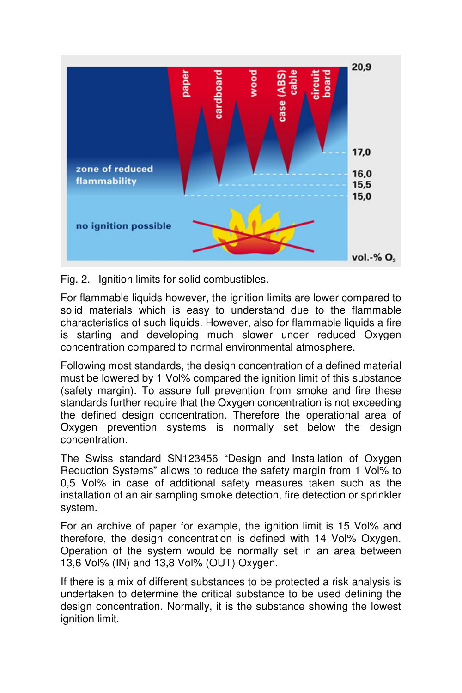

Fig. 2. Ignition limits for solid combustibles.

For flammable liquids however, the ignition limits are lower compared to solid materials which is easy to understand due to the flammable characteristics of such liquids. However, also for flammable liquids a fire is starting and developing much slower under reduced Oxygen concentration compared to normal environmental atmosphere.

Following most standards, the design concentration of a defined material must be lowered by 1 Vol% compared the ignition limit of this substance (safety margin). To assure full prevention from smoke and fire these standards further require that the Oxygen concentration is not exceeding the defined design concentration. Therefore the operational area of Oxygen prevention systems is normally set below the design concentration.

The Swiss standard SN123456 "Design and Installation of Oxygen Reduction Systems" allows to reduce the safety margin from 1 Vol% to 0,5 Vol% in case of additional safety measures taken such as the installation of an air sampling smoke detection, fire detection or sprinkler system.

For an archive of paper for example, the ignition limit is 15 Vol% and therefore, the design concentration is defined with 14 Vol% Oxygen. Operation of the system would be normally set in an area between 13,6 Vol% (IN) and 13,8 Vol% (OUT) Oxygen.

If there is a mix of different substances to be protected a risk analysis is undertaken to determine the critical substance to be used defining the design concentration. Normally, it is the substance showing the lowest ignition limit.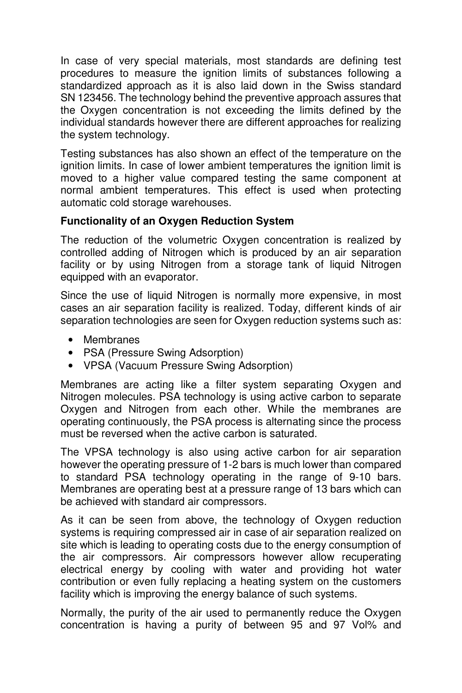In case of very special materials, most standards are defining test procedures to measure the ignition limits of substances following a standardized approach as it is also laid down in the Swiss standard SN 123456. The technology behind the preventive approach assures that the Oxygen concentration is not exceeding the limits defined by the individual standards however there are different approaches for realizing the system technology.

Testing substances has also shown an effect of the temperature on the ignition limits. In case of lower ambient temperatures the ignition limit is moved to a higher value compared testing the same component at normal ambient temperatures. This effect is used when protecting automatic cold storage warehouses.

## **Functionality of an Oxygen Reduction System**

The reduction of the volumetric Oxygen concentration is realized by controlled adding of Nitrogen which is produced by an air separation facility or by using Nitrogen from a storage tank of liquid Nitrogen equipped with an evaporator.

Since the use of liquid Nitrogen is normally more expensive, in most cases an air separation facility is realized. Today, different kinds of air separation technologies are seen for Oxygen reduction systems such as:

- Membranes
- PSA (Pressure Swing Adsorption)
- VPSA (Vacuum Pressure Swing Adsorption)

Membranes are acting like a filter system separating Oxygen and Nitrogen molecules. PSA technology is using active carbon to separate Oxygen and Nitrogen from each other. While the membranes are operating continuously, the PSA process is alternating since the process must be reversed when the active carbon is saturated.

The VPSA technology is also using active carbon for air separation however the operating pressure of 1-2 bars is much lower than compared to standard PSA technology operating in the range of 9-10 bars. Membranes are operating best at a pressure range of 13 bars which can be achieved with standard air compressors.

As it can be seen from above, the technology of Oxygen reduction systems is requiring compressed air in case of air separation realized on site which is leading to operating costs due to the energy consumption of the air compressors. Air compressors however allow recuperating electrical energy by cooling with water and providing hot water contribution or even fully replacing a heating system on the customers facility which is improving the energy balance of such systems.

Normally, the purity of the air used to permanently reduce the Oxygen concentration is having a purity of between 95 and 97 Vol% and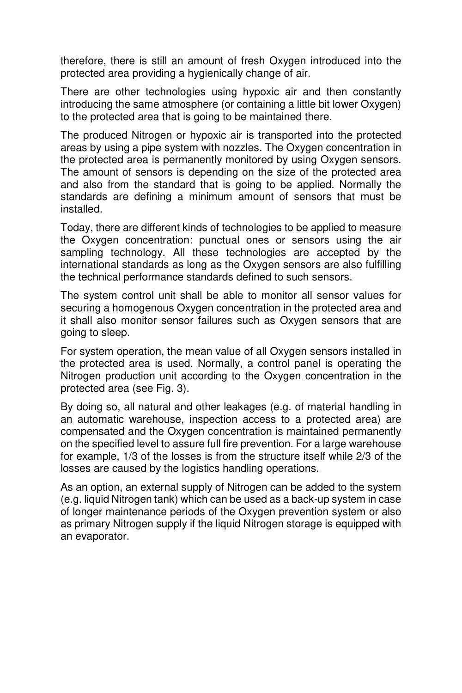therefore, there is still an amount of fresh Oxygen introduced into the protected area providing a hygienically change of air.

There are other technologies using hypoxic air and then constantly introducing the same atmosphere (or containing a little bit lower Oxygen) to the protected area that is going to be maintained there.

The produced Nitrogen or hypoxic air is transported into the protected areas by using a pipe system with nozzles. The Oxygen concentration in the protected area is permanently monitored by using Oxygen sensors. The amount of sensors is depending on the size of the protected area and also from the standard that is going to be applied. Normally the standards are defining a minimum amount of sensors that must be installed.

Today, there are different kinds of technologies to be applied to measure the Oxygen concentration: punctual ones or sensors using the air sampling technology. All these technologies are accepted by the international standards as long as the Oxygen sensors are also fulfilling the technical performance standards defined to such sensors.

The system control unit shall be able to monitor all sensor values for securing a homogenous Oxygen concentration in the protected area and it shall also monitor sensor failures such as Oxygen sensors that are going to sleep.

For system operation, the mean value of all Oxygen sensors installed in the protected area is used. Normally, a control panel is operating the Nitrogen production unit according to the Oxygen concentration in the protected area (see Fig. 3).

By doing so, all natural and other leakages (e.g. of material handling in an automatic warehouse, inspection access to a protected area) are compensated and the Oxygen concentration is maintained permanently on the specified level to assure full fire prevention. For a large warehouse for example, 1/3 of the losses is from the structure itself while 2/3 of the losses are caused by the logistics handling operations.

As an option, an external supply of Nitrogen can be added to the system (e.g. liquid Nitrogen tank) which can be used as a back-up system in case of longer maintenance periods of the Oxygen prevention system or also as primary Nitrogen supply if the liquid Nitrogen storage is equipped with an evaporator.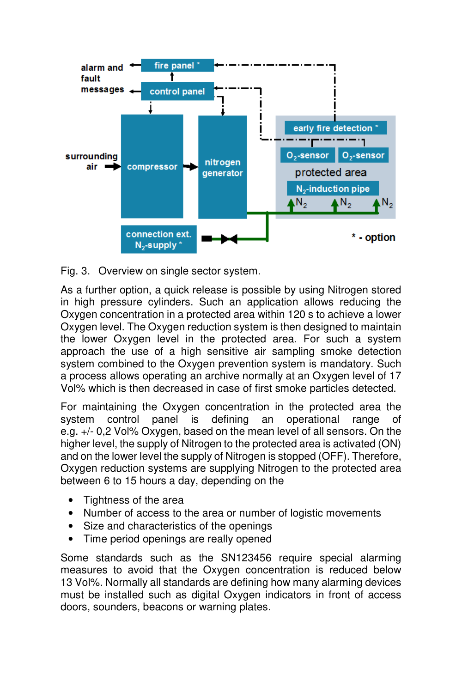

Fig. 3. Overview on single sector system.

As a further option, a quick release is possible by using Nitrogen stored in high pressure cylinders. Such an application allows reducing the Oxygen concentration in a protected area within 120 s to achieve a lower Oxygen level. The Oxygen reduction system is then designed to maintain the lower Oxygen level in the protected area. For such a system approach the use of a high sensitive air sampling smoke detection system combined to the Oxygen prevention system is mandatory. Such a process allows operating an archive normally at an Oxygen level of 17 Vol% which is then decreased in case of first smoke particles detected.

For maintaining the Oxygen concentration in the protected area the system control panel is defining an operational range of e.g. +/- 0,2 Vol% Oxygen, based on the mean level of all sensors. On the higher level, the supply of Nitrogen to the protected area is activated (ON) and on the lower level the supply of Nitrogen is stopped (OFF). Therefore, Oxygen reduction systems are supplying Nitrogen to the protected area between 6 to 15 hours a day, depending on the

- Tightness of the area
- Number of access to the area or number of logistic movements
- Size and characteristics of the openings
- Time period openings are really opened

Some standards such as the SN123456 require special alarming measures to avoid that the Oxygen concentration is reduced below 13 Vol%. Normally all standards are defining how many alarming devices must be installed such as digital Oxygen indicators in front of access doors, sounders, beacons or warning plates.